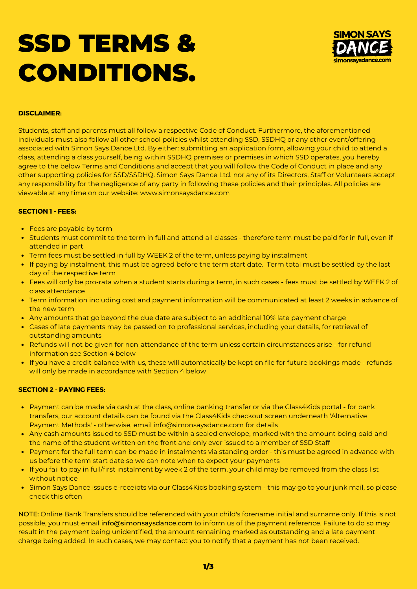# SSD TERMS & CONDITIONS.



## **DISCLAIMER:**

Students, staff and parents must all follow a respective Code of Conduct. Furthermore, the aforementioned individuals must also follow all other school policies whilst attending SSD, SSDHQ or any other event/offering associated with Simon Says Dance Ltd. By either: submitting an application form, allowing your child to attend a class, attending a class yourself, being within SSDHQ premises or premises in which SSD operates, you hereby agree to the below Terms and Conditions and accept that you will follow the Code of Conduct in place and any other supporting policies for SSD/SSDHQ. Simon Says Dance Ltd. nor any of its Directors, Staff or Volunteers accept any responsibility for the negligence of any party in following these policies and their principles. All policies are viewable at any time on our website: www.simonsaysdance.com

# **SECTION 1 - FEES:**

- Fees are payable by term
- Students must commit to the term in full and attend all classes therefore term must be paid for in full, even if attended in part
- Term fees must be settled in full by WEEK 2 of the term, unless paying by instalment
- If paying by instalment, this must be agreed before the term start date. Term total must be settled by the last day of the respective term
- Fees will only be pro-rata when a student starts during a term, in such cases fees must be settled by WEEK 2 of class attendance
- Term information including cost and payment information will be communicated at least 2 weeks in advance of the new term
- Any amounts that go beyond the due date are subject to an additional 10% late payment charge
- Cases of late payments may be passed on to professional services, including your details, for retrieval of outstanding amounts
- Refunds will not be given for non-attendance of the term unless certain circumstances arise for refund information see Section 4 below
- If you have a credit balance with us, these will automatically be kept on file for future bookings made refunds will only be made in accordance with Section 4 below

## **SECTION 2 - PAYING FEES:**

- Payment can be made via cash at the class, online banking transfer or via the Class4Kids portal for bank transfers, our account details can be found via the Class4Kids checkout screen underneath 'Alternative Payment Methods' - otherwise, email info@simonsaysdance.com for details
- Any cash amounts issued to SSD must be within a sealed envelope, marked with the amount being paid and the name of the student written on the front and only ever issued to a member of SSD Staff
- Payment for the full term can be made in instalments via standing order this must be agreed in advance with us before the term start date so we can note when to expect your payments
- If you fail to pay in full/first instalment by week 2 of the term, your child may be removed from the class list without notice
- Simon Says Dance issues e-receipts via our Class4Kids booking system this may go to your junk mail, so please check this often

NOTE: Online Bank Transfers should be referenced with your child's forename initial and surname only. If this is not possible, you must email [info@simonsaysdance.com](http://www.simonsaysdance.com/) to inform us of the payment reference. Failure to do so may result in the payment being unidentified, the amount remaining marked as outstanding and a late payment charge being added. In such cases, we may contact you to notify that a payment has not been received.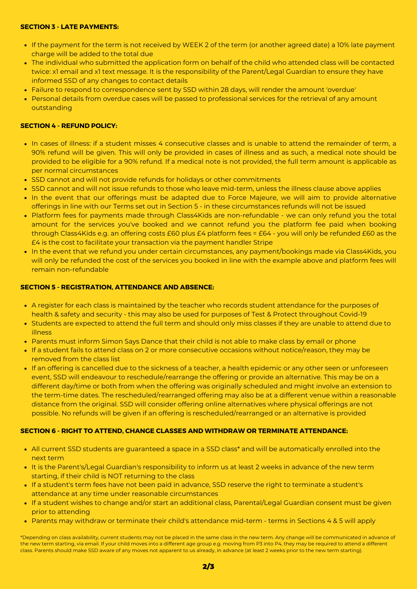## **SECTION 3 - LATE PAYMENTS:**

- If the payment for the term is not received by WEEK 2 of the term (or another agreed date) a 10% late payment charge will be added to the total due
- The individual who submitted the application form on behalf of the child who attended class will be contacted twice: x1 email and x1 text message. It is the responsibility of the Parent/Legal Guardian to ensure they have informed SSD of any changes to contact details
- Failure to respond to correspondence sent by SSD within 28 days, will render the amount 'overdue'
- Personal details from overdue cases will be passed to professional services for the retrieval of any amount outstanding

# **SECTION 4 - REFUND POLICY:**

- In cases of illness: if a student misses 4 consecutive classes and is unable to attend the remainder of term, a 90% refund will be given. This will only be provided in cases of illness and as such, a medical note should be provided to be eligible for a 90% refund. If a medical note is not provided, the full term amount is applicable as per normal circumstances
- SSD cannot and will not provide refunds for holidays or other commitments
- SSD cannot and will not issue refunds to those who leave mid-term, unless the illness clause above applies
- In the event that our offerings must be adapted due to Force Majeure, we will aim to provide alternative offerings in line with our Terms set out in Section 5 - in these circumstances refunds will not be issued
- Platform fees for payments made through Class4Kids are non-refundable we can only refund you the total amount for the services you've booked and we cannot refund you the platform fee paid when booking through Class4Kids e.g. an offering costs £60 plus £4 platform fees = £64 - you will only be refunded £60 as the £4 is the cost to facilitate your transaction via the payment handler Stripe
- In the event that we refund you under certain circumstances, any payment/bookings made via Class4Kids, you will only be refunded the cost of the services you booked in line with the example above and platform fees will remain non-refundable

# **SECTION 5 - REGISTRATION, ATTENDANCE AND ABSENCE:**

- A register for each class is maintained by the teacher who records student attendance for the purposes of health & safety and security - this may also be used for purposes of Test & Protect throughout Covid-19
- Students are expected to attend the full term and should only miss classes if they are unable to attend due to illness
- Parents must inform Simon Says Dance that their child is not able to make class by email or phone
- If a student fails to attend class on 2 or more consecutive occasions without notice/reason, they may be removed from the class list
- If an offering is cancelled due to the sickness of a teacher, a health epidemic or any other seen or unforeseen event, SSD will endeavour to reschedule/rearrange the offering or provide an alternative. This may be on a different day/time or both from when the offering was originally scheduled and might involve an extension to the term-time dates. The rescheduled/rearranged offering may also be at a different venue within a reasonable distance from the original. SSD will consider offering online alternatives where physical offerings are not possible. No refunds will be given if an offering is [rescheduled/rearranged](http://www.simonsaysdance.com/) or an alternative is provided

#### **SECTION 6 - RIGHT TO ATTEND, CHANGE CLASSES AND WITHDRAW OR TERMINATE ATTENDANCE:**

- All current SSD students are guaranteed a space in a SSD class\* and will be automatically enrolled into the next term
- It is the Parent's/Legal Guardian's responsibility to inform us at least 2 weeks in advance of the new term starting, if their child is NOT returning to the class
- If a student's term fees have not been paid in advance, SSD reserve the right to terminate a student's attendance at any time under reasonable circumstances
- If a student wishes to change and/or start an additional class, Parental/Legal Guardian consent must be given prior to attending
- Parents may withdraw or terminate their child's attendance mid-term terms in Sections 4 & 5 will apply

\*Depending on class availability, current students may not be placed in the same class in the new term. Any change will be communicated in advance of the new term starting, via email. If your child moves into a different age group e.g. moving from P3 into P4, they may be required to attend a different class. Parents should make SSD aware of any moves not apparent to us already, in advance (at least 2 weeks prior to the new term starting).

2/3